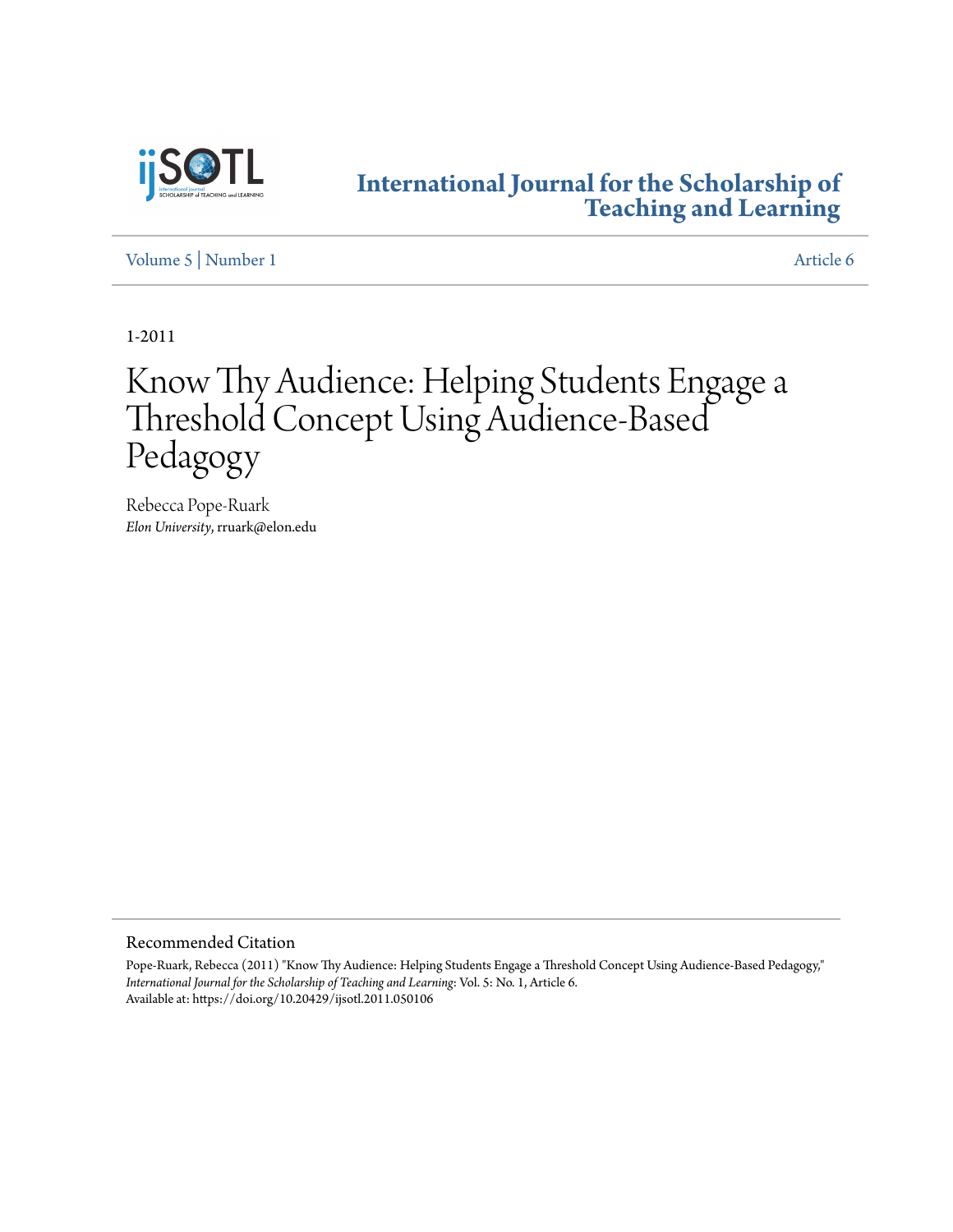

# **[International Journal for the Scholarship of](https://digitalcommons.georgiasouthern.edu/ij-sotl?utm_source=digitalcommons.georgiasouthern.edu%2Fij-sotl%2Fvol5%2Fiss1%2F6&utm_medium=PDF&utm_campaign=PDFCoverPages) [Teaching and Learning](https://digitalcommons.georgiasouthern.edu/ij-sotl?utm_source=digitalcommons.georgiasouthern.edu%2Fij-sotl%2Fvol5%2Fiss1%2F6&utm_medium=PDF&utm_campaign=PDFCoverPages)**

[Volume 5](https://digitalcommons.georgiasouthern.edu/ij-sotl/vol5?utm_source=digitalcommons.georgiasouthern.edu%2Fij-sotl%2Fvol5%2Fiss1%2F6&utm_medium=PDF&utm_campaign=PDFCoverPages) | [Number 1](https://digitalcommons.georgiasouthern.edu/ij-sotl/vol5/iss1?utm_source=digitalcommons.georgiasouthern.edu%2Fij-sotl%2Fvol5%2Fiss1%2F6&utm_medium=PDF&utm_campaign=PDFCoverPages) [Article 6](https://digitalcommons.georgiasouthern.edu/ij-sotl/vol5/iss1/6?utm_source=digitalcommons.georgiasouthern.edu%2Fij-sotl%2Fvol5%2Fiss1%2F6&utm_medium=PDF&utm_campaign=PDFCoverPages)

1-2011

# Know Thy Audience: Helping Students Engage a Threshold Concept Using Audience-Based Pedagogy

Rebecca Pope-Ruark *Elon University*, rruark@elon.edu

# Recommended Citation

Pope-Ruark, Rebecca (2011) "Know Thy Audience: Helping Students Engage a Threshold Concept Using Audience-Based Pedagogy," *International Journal for the Scholarship of Teaching and Learning*: Vol. 5: No. 1, Article 6. Available at: https://doi.org/10.20429/ijsotl.2011.050106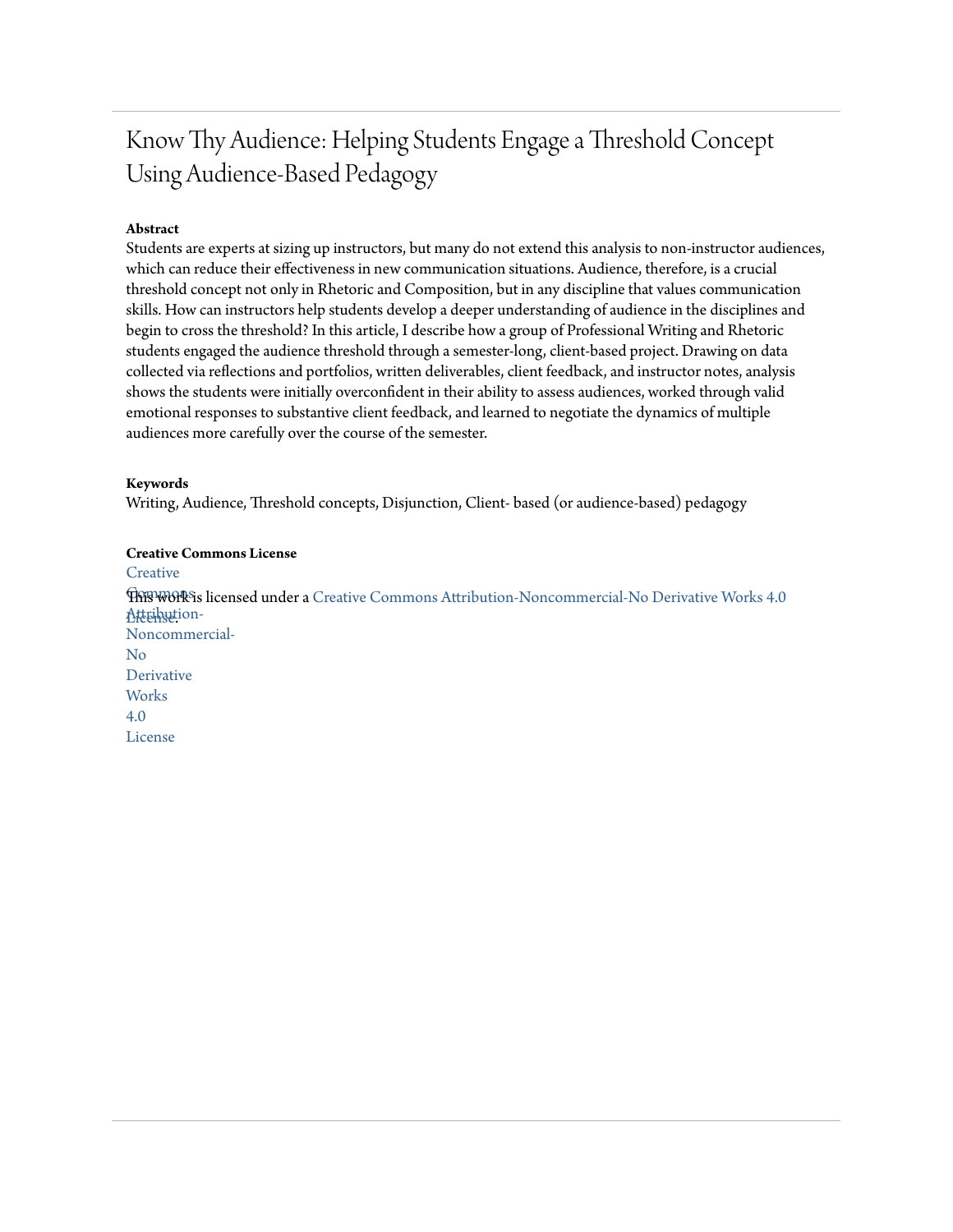# Know Thy Audience: Helping Students Engage a Threshold Concept Using Audience-Based Pedagogy

# **Abstract**

Students are experts at sizing up instructors, but many do not extend this analysis to non-instructor audiences, which can reduce their effectiveness in new communication situations. Audience, therefore, is a crucial threshold concept not only in Rhetoric and Composition, but in any discipline that values communication skills. How can instructors help students develop a deeper understanding of audience in the disciplines and begin to cross the threshold? In this article, I describe how a group of Professional Writing and Rhetoric students engaged the audience threshold through a semester-long, client-based project. Drawing on data collected via reflections and portfolios, written deliverables, client feedback, and instructor notes, analysis shows the students were initially overconfident in their ability to assess audiences, worked through valid emotional responses to substantive client feedback, and learned to negotiate the dynamics of multiple audiences more carefully over the course of the semester.

# **Keywords**

Writing, Audience, Threshold concepts, Disjunction, Client- based (or audience-based) pedagogy

# **Creative Commons License [Creative](https://creativecommons.org/licenses/by-nc-nd/4.0/)**  $\widehat{\text{TRFWOR}}$ is licensed under a [Creative Commons Attribution-Noncommercial-No Derivative Works 4.0](https://creativecommons.org/licenses/by-nc-nd/4.0/) Atternution-Noncommercial-No Derivative **Works** 4.0 License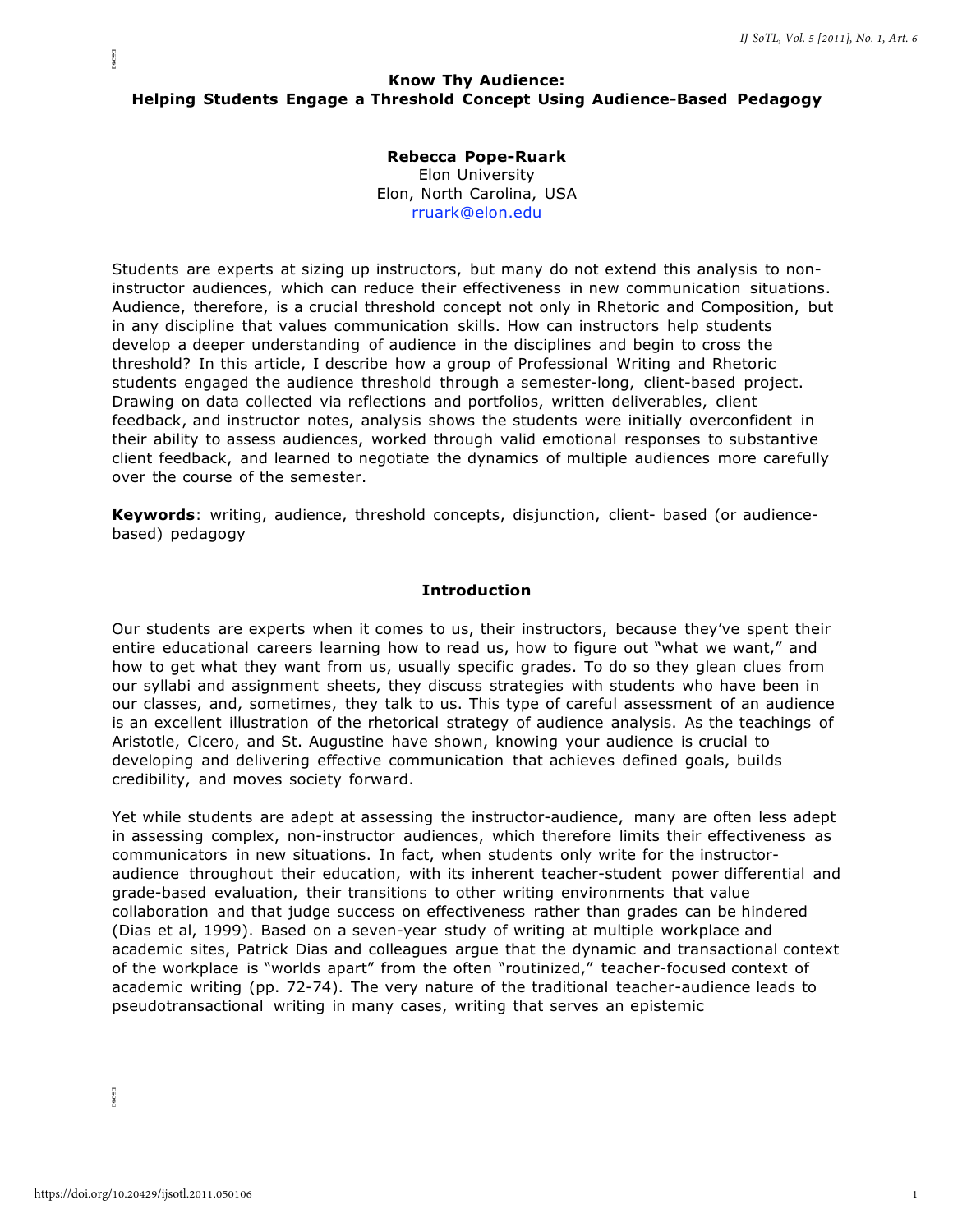# **Know Thy Audience: Helping Students Engage a Threshold Concept Using Audience-Based Pedagogy**

# **Rebecca Pope-Ruark**

Elon University Elon, North Carolina, USA [rruark@elon.edu](mailto:rruark@elon.edu)

Students are experts at sizing up instructors, but many do not extend this analysis to noninstructor audiences, which can reduce their effectiveness in new communication situations. Audience, therefore, is a crucial threshold concept not only in Rhetoric and Composition, but in any discipline that values communication skills. How can instructors help students develop a deeper understanding of audience in the disciplines and begin to cross the threshold? In this article, I describe how a group of Professional Writing and Rhetoric students engaged the audience threshold through a semester-long, client-based project. Drawing on data collected via reflections and portfolios, written deliverables, client feedback, and instructor notes, analysis shows the students were initially overconfident in their ability to assess audiences, worked through valid emotional responses to substantive client feedback, and learned to negotiate the dynamics of multiple audiences more carefully over the course of the semester.

**Keywords**: writing, audience, threshold concepts, disjunction, client- based (or audiencebased) pedagogy

#### **Introduction**

Our students are experts when it comes to us, their instructors, because they've spent their entire educational careers learning how to read us, how to figure out "what we want," and how to get what they want from us, usually specific grades. To do so they glean clues from our syllabi and assignment sheets, they discuss strategies with students who have been in our classes, and, sometimes, they talk to us. This type of careful assessment of an audience is an excellent illustration of the rhetorical strategy of audience analysis. As the teachings of Aristotle, Cicero, and St. Augustine have shown, knowing your audience is crucial to developing and delivering effective communication that achieves defined goals, builds credibility, and moves society forward.

Yet while students are adept at assessing the instructor-audience, many are often less adept in assessing complex, non-instructor audiences, which therefore limits their effectiveness as communicators in new situations. In fact, when students only write for the instructoraudience throughout their education, with its inherent teacher-student power differential and grade-based evaluation, their transitions to other writing environments that value collaboration and that judge success on effectiveness rather than grades can be hindered (Dias et al, 1999). Based on a seven-year study of writing at multiple workplace and academic sites, Patrick Dias and colleagues argue that the dynamic and transactional context of the workplace is "worlds apart" from the often "routinized," teacher-focused context of academic writing (pp. 72-74). The very nature of the traditional teacher-audience leads to pseudotransactional writing in many cases, writing that serves an epistemic

 $\frac{1}{2}$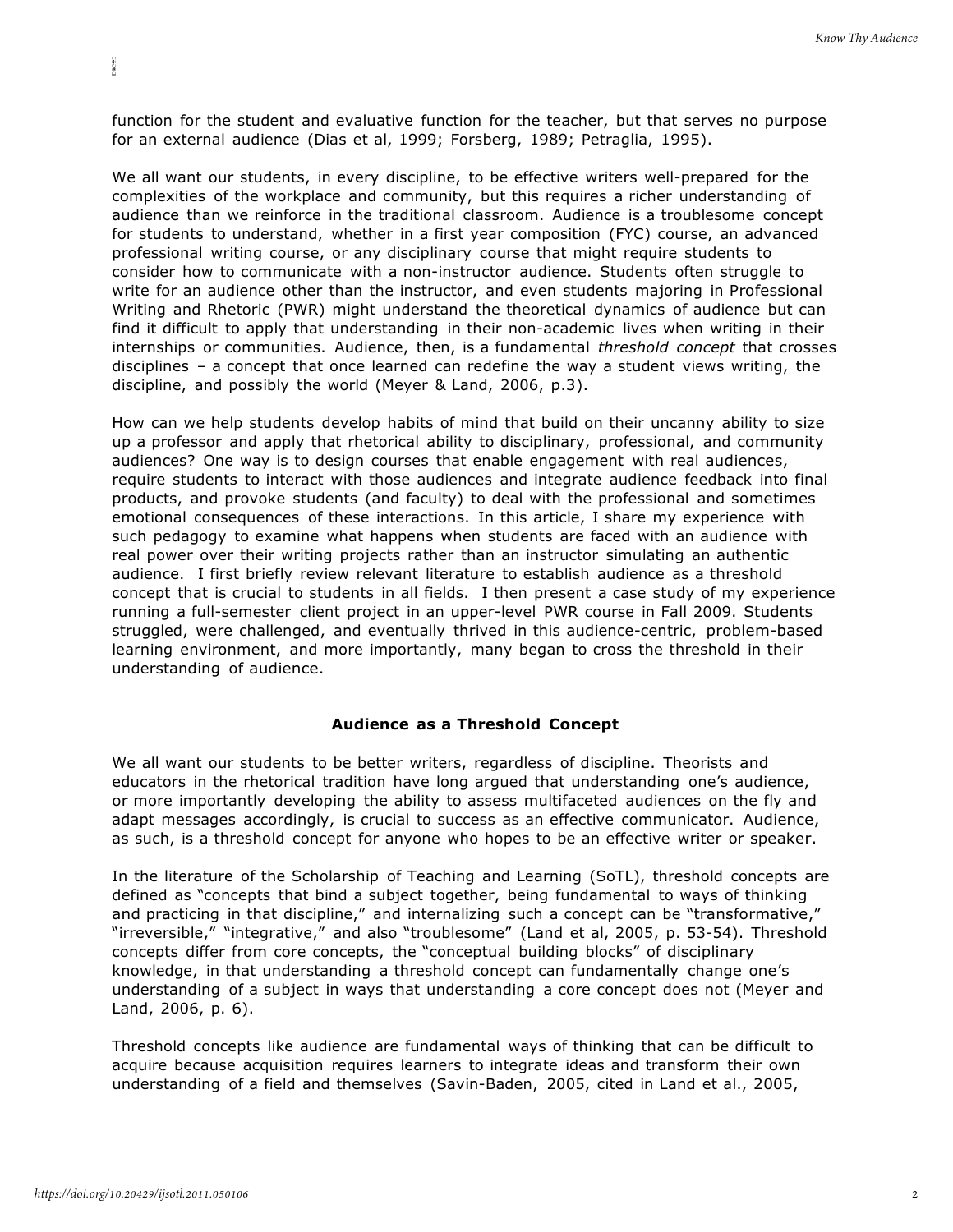function for the student and evaluative function for the teacher, but that serves no purpose for an external audience (Dias et al, 1999; Forsberg, 1989; Petraglia, 1995).

We all want our students, in every discipline, to be effective writers well-prepared for the complexities of the workplace and community, but this requires a richer understanding of audience than we reinforce in the traditional classroom. Audience is a troublesome concept for students to understand, whether in a first year composition (FYC) course, an advanced professional writing course, or any disciplinary course that might require students to consider how to communicate with a non-instructor audience. Students often struggle to write for an audience other than the instructor, and even students majoring in Professional Writing and Rhetoric (PWR) might understand the theoretical dynamics of audience but can find it difficult to apply that understanding in their non-academic lives when writing in their internships or communities. Audience, then, is a fundamental *threshold concept* that crosses disciplines – a concept that once learned can redefine the way a student views writing, the discipline, and possibly the world (Meyer & Land, 2006, p.3).

How can we help students develop habits of mind that build on their uncanny ability to size up a professor and apply that rhetorical ability to disciplinary, professional, and community audiences? One way is to design courses that enable engagement with real audiences, require students to interact with those audiences and integrate audience feedback into final products, and provoke students (and faculty) to deal with the professional and sometimes emotional consequences of these interactions. In this article, I share my experience with such pedagogy to examine what happens when students are faced with an audience with real power over their writing projects rather than an instructor simulating an authentic audience. I first briefly review relevant literature to establish audience as a threshold concept that is crucial to students in all fields. I then present a case study of my experience running a full-semester client project in an upper-level PWR course in Fall 2009. Students struggled, were challenged, and eventually thrived in this audience-centric, problem-based learning environment, and more importantly, many began to cross the threshold in their understanding of audience.

# **Audience as a Threshold Concept**

We all want our students to be better writers, regardless of discipline. Theorists and educators in the rhetorical tradition have long argued that understanding one's audience, or more importantly developing the ability to assess multifaceted audiences on the fly and adapt messages accordingly, is crucial to success as an effective communicator. Audience, as such, is a threshold concept for anyone who hopes to be an effective writer or speaker.

In the literature of the Scholarship of Teaching and Learning (SoTL), threshold concepts are defined as "concepts that bind a subject together, being fundamental to ways of thinking and practicing in that discipline," and internalizing such a concept can be "transformative," "irreversible," "integrative," and also "troublesome" (Land et al, 2005, p. 53-54). Threshold concepts differ from core concepts, the "conceptual building blocks" of disciplinary knowledge, in that understanding a threshold concept can fundamentally change one's understanding of a subject in ways that understanding a core concept does not (Meyer and Land, 2006, p. 6).

Threshold concepts like audience are fundamental ways of thinking that can be difficult to acquire because acquisition requires learners to integrate ideas and transform their own understanding of a field and themselves (Savin-Baden, 2005, cited in Land et al., 2005,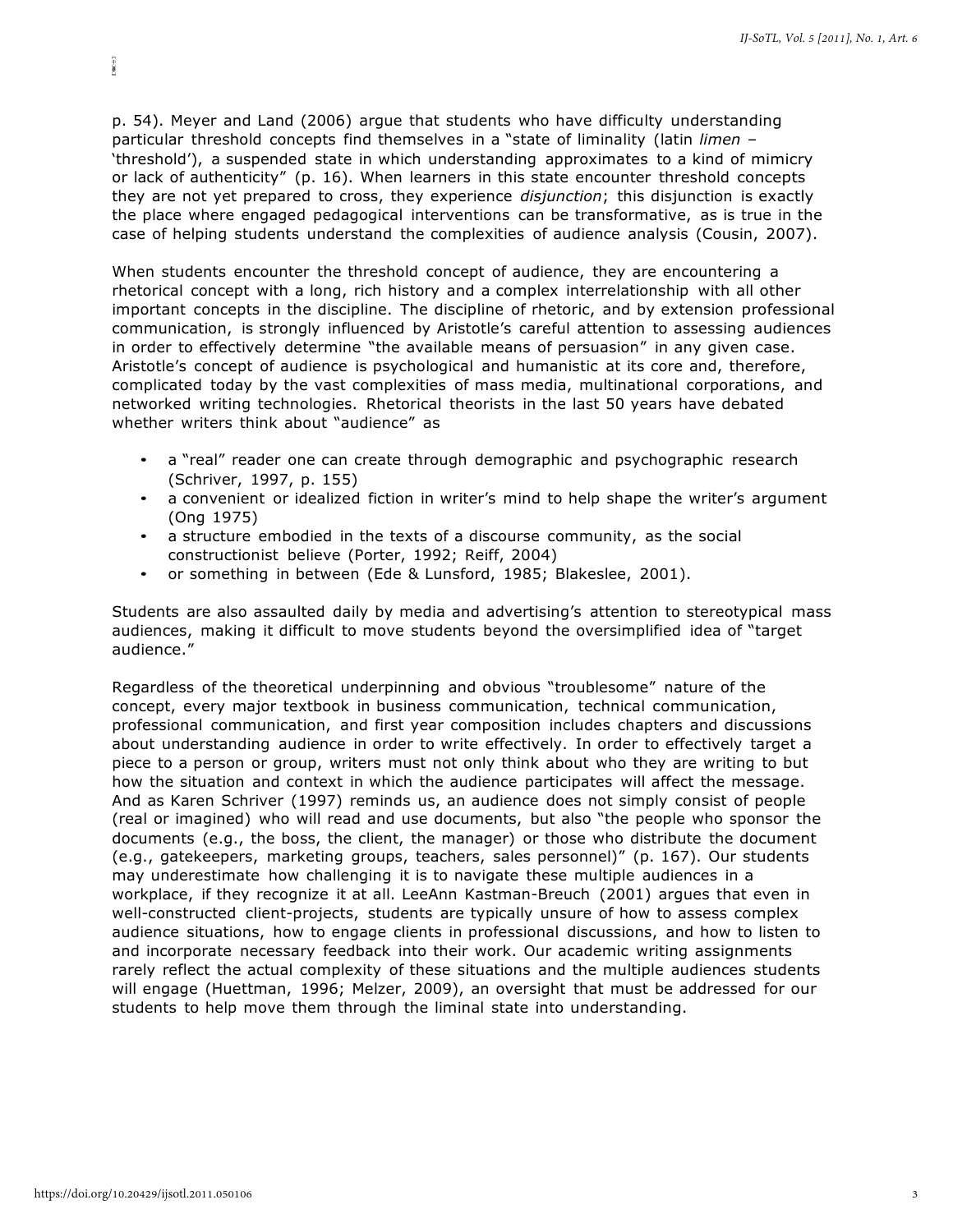p. 54). Meyer and Land (2006) argue that students who have difficulty understanding particular threshold concepts find themselves in a "state of liminality (latin *limen* – 'threshold'), a suspended state in which understanding approximates to a kind of mimicry or lack of authenticity" (p. 16). When learners in this state encounter threshold concepts they are not yet prepared to cross, they experience *disjunction*; this disjunction is exactly the place where engaged pedagogical interventions can be transformative, as is true in the case of helping students understand the complexities of audience analysis (Cousin, 2007).

When students encounter the threshold concept of audience, they are encountering a rhetorical concept with a long, rich history and a complex interrelationship with all other important concepts in the discipline. The discipline of rhetoric, and by extension professional communication, is strongly influenced by Aristotle's careful attention to assessing audiences in order to effectively determine "the available means of persuasion" in any given case. Aristotle's concept of audience is psychological and humanistic at its core and, therefore, complicated today by the vast complexities of mass media, multinational corporations, and networked writing technologies. Rhetorical theorists in the last 50 years have debated whether writers think about "audience" as

- a "real" reader one can create through demographic and psychographic research (Schriver, 1997, p. 155)
- a convenient or idealized fiction in writer's mind to help shape the writer's argument (Ong 1975)
- a structure embodied in the texts of a discourse community, as the social constructionist believe (Porter, 1992; Reiff, 2004)
- or something in between (Ede & Lunsford, 1985; Blakeslee, 2001).

Students are also assaulted daily by media and advertising's attention to stereotypical mass audiences, making it difficult to move students beyond the oversimplified idea of "target audience."

Regardless of the theoretical underpinning and obvious "troublesome" nature of the concept, every major textbook in business communication, technical communication, professional communication, and first year composition includes chapters and discussions about understanding audience in order to write effectively. In order to effectively target a piece to a person or group, writers must not only think about who they are writing to but how the situation and context in which the audience participates will affect the message. And as Karen Schriver (1997) reminds us, an audience does not simply consist of people (real or imagined) who will read and use documents, but also "the people who sponsor the documents (e.g., the boss, the client, the manager) or those who distribute the document (e.g., gatekeepers, marketing groups, teachers, sales personnel)" (p. 167). Our students may underestimate how challenging it is to navigate these multiple audiences in a workplace, if they recognize it at all. LeeAnn Kastman-Breuch (2001) argues that even in well-constructed client-projects, students are typically unsure of how to assess complex audience situations, how to engage clients in professional discussions, and how to listen to and incorporate necessary feedback into their work. Our academic writing assignments rarely reflect the actual complexity of these situations and the multiple audiences students will engage (Huettman, 1996; Melzer, 2009), an oversight that must be addressed for our students to help move them through the liminal state into understanding.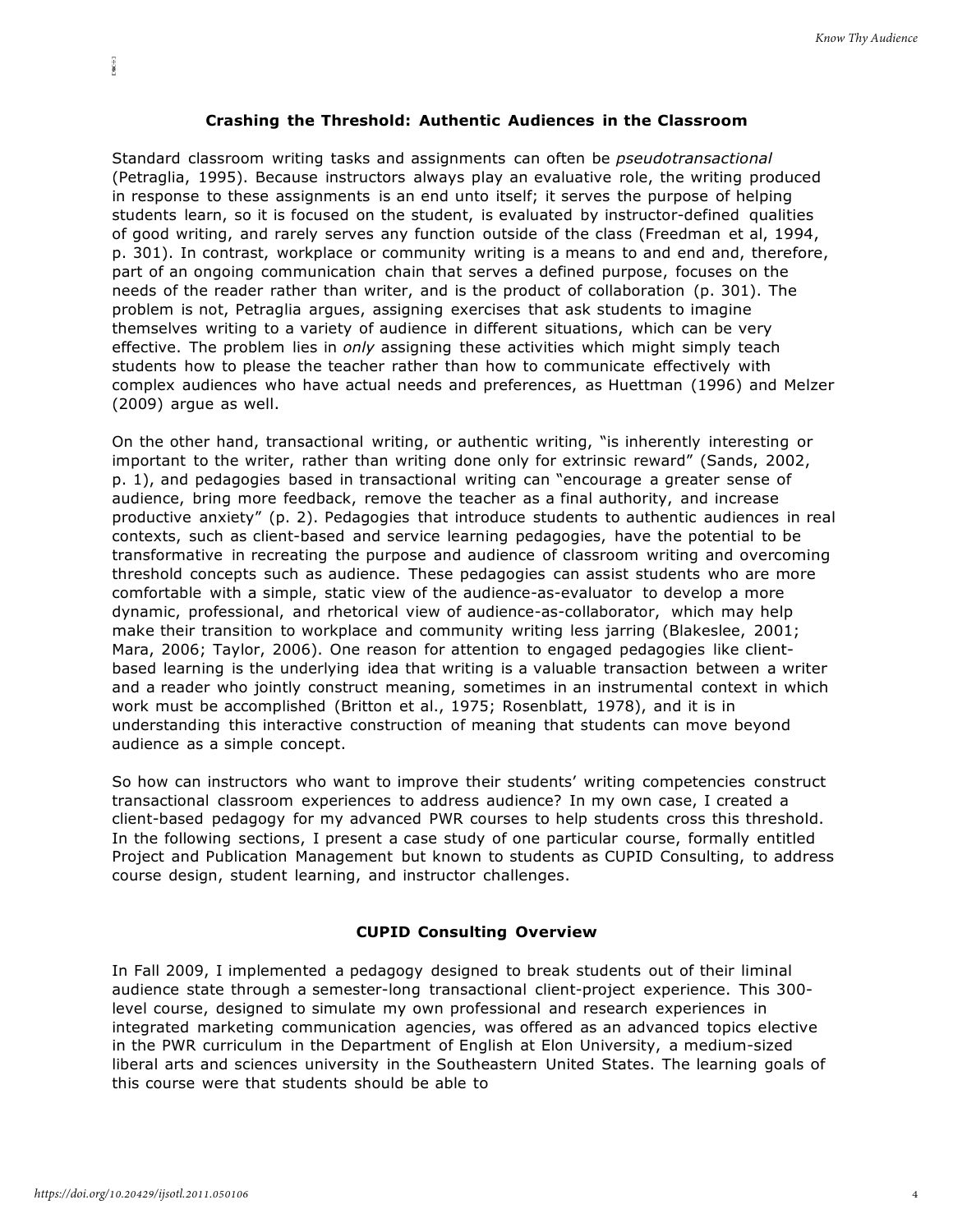### **Crashing the Threshold: Authentic Audiences in the Classroom**

Standard classroom writing tasks and assignments can often be *pseudotransactional*  (Petraglia, 1995). Because instructors always play an evaluative role, the writing produced in response to these assignments is an end unto itself; it serves the purpose of helping students learn, so it is focused on the student, is evaluated by instructor-defined qualities of good writing, and rarely serves any function outside of the class (Freedman et al, 1994, p. 301). In contrast, workplace or community writing is a means to and end and, therefore, part of an ongoing communication chain that serves a defined purpose, focuses on the needs of the reader rather than writer, and is the product of collaboration (p. 301). The problem is not, Petraglia argues, assigning exercises that ask students to imagine themselves writing to a variety of audience in different situations, which can be very effective. The problem lies in *only* assigning these activities which might simply teach students how to please the teacher rather than how to communicate effectively with complex audiences who have actual needs and preferences, as Huettman (1996) and Melzer (2009) argue as well.

On the other hand, transactional writing, or authentic writing, "is inherently interesting or important to the writer, rather than writing done only for extrinsic reward" (Sands, 2002, p. 1), and pedagogies based in transactional writing can "encourage a greater sense of audience, bring more feedback, remove the teacher as a final authority, and increase productive anxiety" (p. 2). Pedagogies that introduce students to authentic audiences in real contexts, such as client-based and service learning pedagogies, have the potential to be transformative in recreating the purpose and audience of classroom writing and overcoming threshold concepts such as audience. These pedagogies can assist students who are more comfortable with a simple, static view of the audience-as-evaluator to develop a more dynamic, professional, and rhetorical view of audience-as-collaborator, which may help make their transition to workplace and community writing less jarring (Blakeslee, 2001; Mara, 2006; Taylor, 2006). One reason for attention to engaged pedagogies like clientbased learning is the underlying idea that writing is a valuable transaction between a writer and a reader who jointly construct meaning, sometimes in an instrumental context in which work must be accomplished (Britton et al., 1975; Rosenblatt, 1978), and it is in understanding this interactive construction of meaning that students can move beyond audience as a simple concept.

So how can instructors who want to improve their students' writing competencies construct transactional classroom experiences to address audience? In my own case, I created a client-based pedagogy for my advanced PWR courses to help students cross this threshold. In the following sections, I present a case study of one particular course, formally entitled Project and Publication Management but known to students as CUPID Consulting, to address course design, student learning, and instructor challenges.

### **CUPID Consulting Overview**

In Fall 2009, I implemented a pedagogy designed to break students out of their liminal audience state through a semester-long transactional client-project experience. This 300 level course, designed to simulate my own professional and research experiences in integrated marketing communication agencies, was offered as an advanced topics elective in the PWR curriculum in the Department of English at Elon University, a medium-sized liberal arts and sciences university in the Southeastern United States. The learning goals of this course were that students should be able to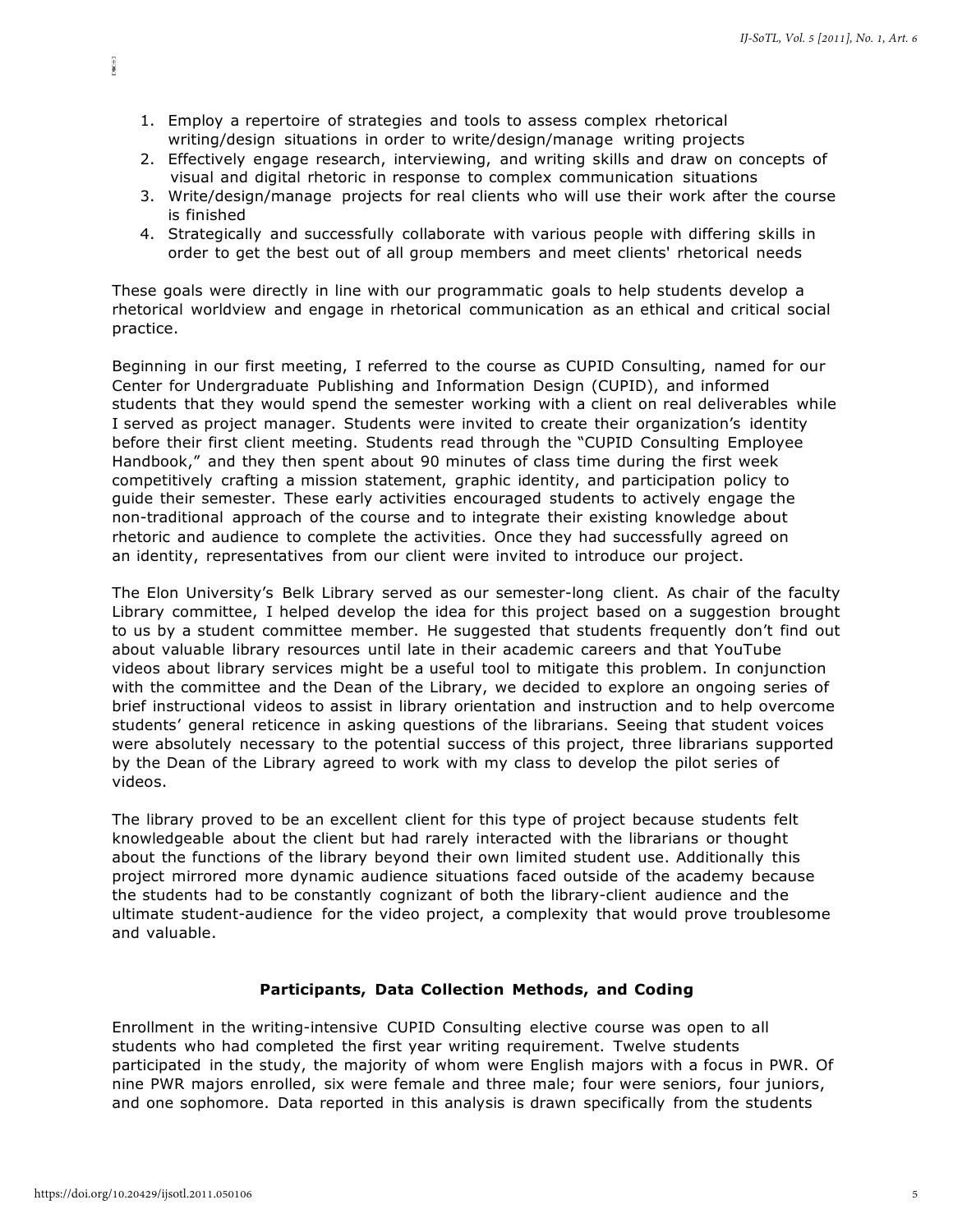- 1. Employ a repertoire of strategies and tools to assess complex rhetorical writing/design situations in order to write/design/manage writing projects
- 2. Effectively engage research, interviewing, and writing skills and draw on concepts of visual and digital rhetoric in response to complex communication situations
- 3. Write/design/manage projects for real clients who will use their work after the course is finished
- 4. Strategically and successfully collaborate with various people with differing skills in order to get the best out of all group members and meet clients' rhetorical needs

These goals were directly in line with our programmatic goals to help students develop a rhetorical worldview and engage in rhetorical communication as an ethical and critical social practice.

Beginning in our first meeting, I referred to the course as CUPID Consulting, named for our Center for Undergraduate Publishing and Information Design (CUPID), and informed students that they would spend the semester working with a client on real deliverables while I served as project manager. Students were invited to create their organization's identity before their first client meeting. Students read through the "CUPID Consulting Employee Handbook," and they then spent about 90 minutes of class time during the first week competitively crafting a mission statement, graphic identity, and participation policy to guide their semester. These early activities encouraged students to actively engage the non-traditional approach of the course and to integrate their existing knowledge about rhetoric and audience to complete the activities. Once they had successfully agreed on an identity, representatives from our client were invited to introduce our project.

The Elon University's Belk Library served as our semester-long client. As chair of the faculty Library committee, I helped develop the idea for this project based on a suggestion brought to us by a student committee member. He suggested that students frequently don't find out about valuable library resources until late in their academic careers and that YouTube videos about library services might be a useful tool to mitigate this problem. In conjunction with the committee and the Dean of the Library, we decided to explore an ongoing series of brief instructional videos to assist in library orientation and instruction and to help overcome students' general reticence in asking questions of the librarians. Seeing that student voices were absolutely necessary to the potential success of this project, three librarians supported by the Dean of the Library agreed to work with my class to develop the pilot series of videos.

The library proved to be an excellent client for this type of project because students felt knowledgeable about the client but had rarely interacted with the librarians or thought about the functions of the library beyond their own limited student use. Additionally this project mirrored more dynamic audience situations faced outside of the academy because the students had to be constantly cognizant of both the library-client audience and the ultimate student-audience for the video project, a complexity that would prove troublesome and valuable.

#### **Participants, Data Collection Methods, and Coding**

Enrollment in the writing-intensive CUPID Consulting elective course was open to all students who had completed the first year writing requirement. Twelve students participated in the study, the majority of whom were English majors with a focus in PWR. Of nine PWR majors enrolled, six were female and three male; four were seniors, four juniors, and one sophomore. Data reported in this analysis is drawn specifically from the students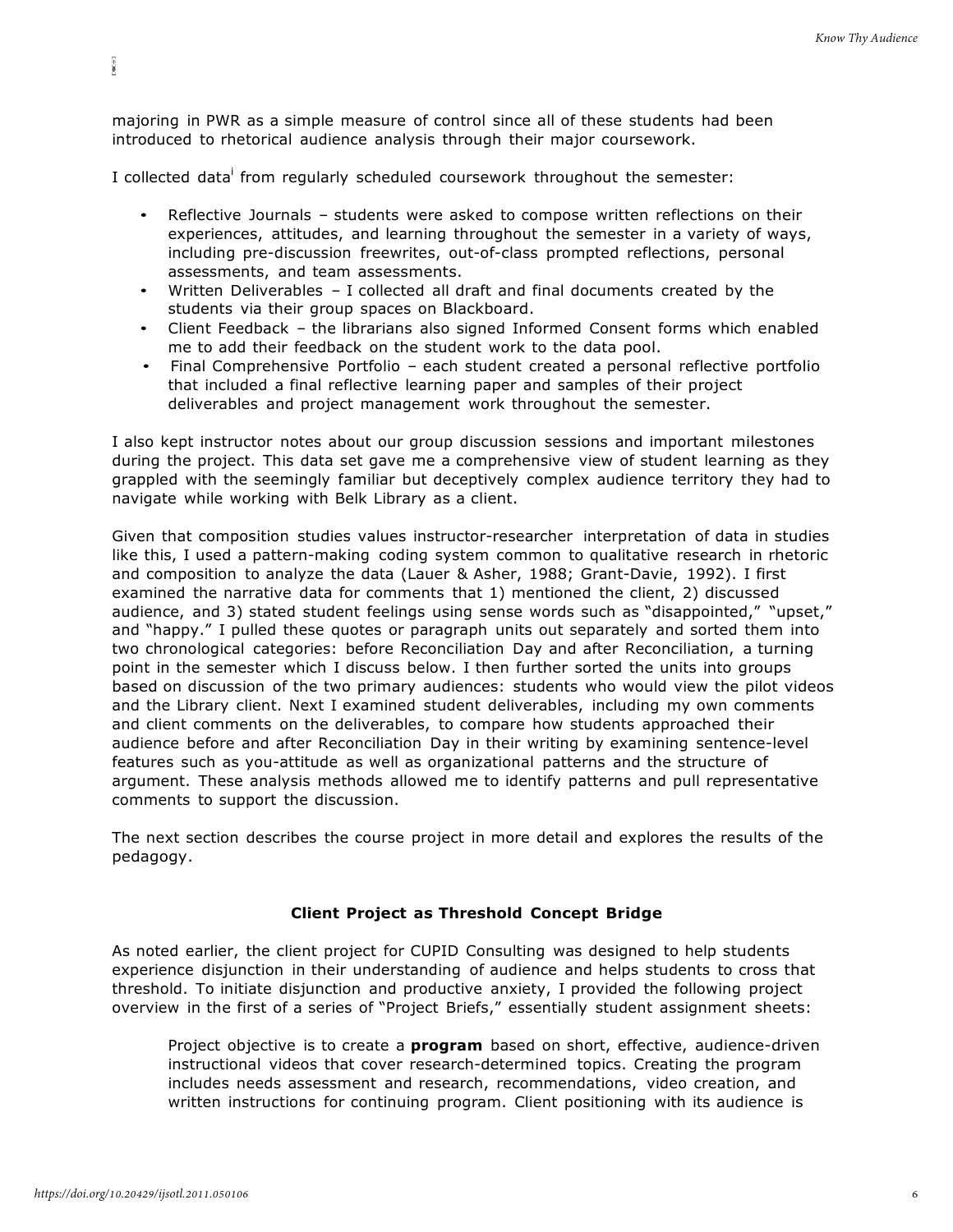majoring in PWR as a simple measure of control since all of these students had been introduced to rhetorical audience analysis through their major coursework.

I collected data from regularly scheduled coursework throughout the semester:

- Reflective Journals students were asked to compose written reflections on their experiences, attitudes, and learning throughout the semester in a variety of ways, including pre-discussion freewrites, out-of-class prompted reflections, personal assessments, and team assessments.
- Written Deliverables I collected all draft and final documents created by the students via their group spaces on Blackboard.
- Client Feedback the librarians also signed Informed Consent forms which enabled me to add their feedback on the student work to the data pool.
- Final Comprehensive Portfolio each student created a personal reflective portfolio that included a final reflective learning paper and samples of their project deliverables and project management work throughout the semester.

I also kept instructor notes about our group discussion sessions and important milestones during the project. This data set gave me a comprehensive view of student learning as they grappled with the seemingly familiar but deceptively complex audience territory they had to navigate while working with Belk Library as a client.

Given that composition studies values instructor-researcher interpretation of data in studies like this, I used a pattern-making coding system common to qualitative research in rhetoric and composition to analyze the data (Lauer & Asher, 1988; Grant-Davie, 1992). I first examined the narrative data for comments that 1) mentioned the client, 2) discussed audience, and 3) stated student feelings using sense words such as "disappointed," "upset," and "happy." I pulled these quotes or paragraph units out separately and sorted them into two chronological categories: before Reconciliation Day and after Reconciliation, a turning point in the semester which I discuss below. I then further sorted the units into groups based on discussion of the two primary audiences: students who would view the pilot videos and the Library client. Next I examined student deliverables, including my own comments and client comments on the deliverables, to compare how students approached their audience before and after Reconciliation Day in their writing by examining sentence-level features such as you-attitude as well as organizational patterns and the structure of argument. These analysis methods allowed me to identify patterns and pull representative comments to support the discussion.

The next section describes the course project in more detail and explores the results of the pedagogy.

# **Client Project as Threshold Concept Bridge**

As noted earlier, the client project for CUPID Consulting was designed to help students experience disjunction in their understanding of audience and helps students to cross that threshold. To initiate disjunction and productive anxiety, I provided the following project overview in the first of a series of "Project Briefs," essentially student assignment sheets:

Project objective is to create a **program** based on short, effective, audience-driven instructional videos that cover research-determined topics. Creating the program includes needs assessment and research, recommendations, video creation, and written instructions for continuing program. Client positioning with its audience is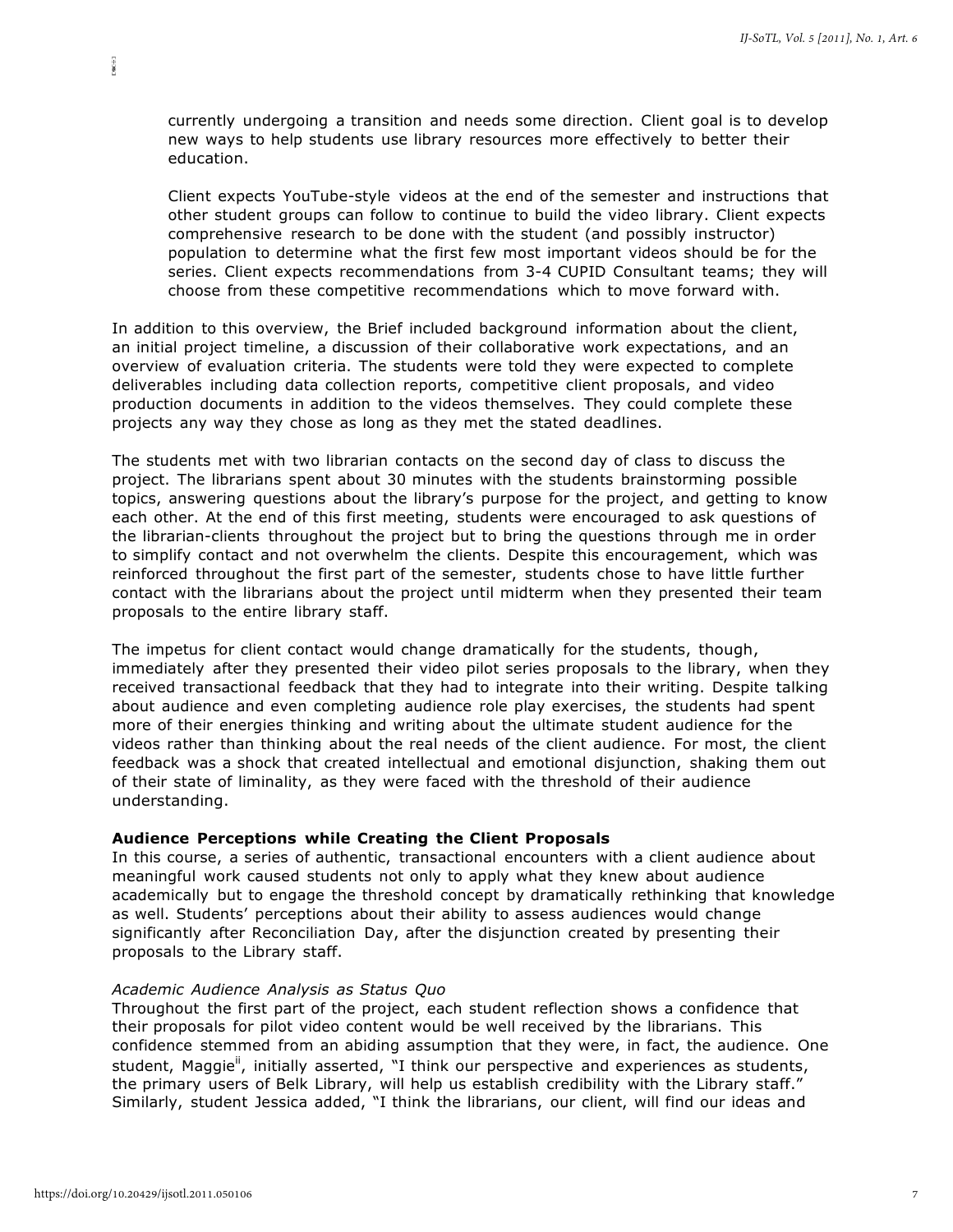currently undergoing a transition and needs some direction. Client goal is to develop new ways to help students use library resources more effectively to better their education.

Client expects YouTube-style videos at the end of the semester and instructions that other student groups can follow to continue to build the video library. Client expects comprehensive research to be done with the student (and possibly instructor) population to determine what the first few most important videos should be for the series. Client expects recommendations from 3-4 CUPID Consultant teams; they will choose from these competitive recommendations which to move forward with.

In addition to this overview, the Brief included background information about the client, an initial project timeline, a discussion of their collaborative work expectations, and an overview of evaluation criteria. The students were told they were expected to complete deliverables including data collection reports, competitive client proposals, and video production documents in addition to the videos themselves. They could complete these projects any way they chose as long as they met the stated deadlines.

The students met with two librarian contacts on the second day of class to discuss the project. The librarians spent about 30 minutes with the students brainstorming possible topics, answering questions about the library's purpose for the project, and getting to know each other. At the end of this first meeting, students were encouraged to ask questions of the librarian-clients throughout the project but to bring the questions through me in order to simplify contact and not overwhelm the clients. Despite this encouragement, which was reinforced throughout the first part of the semester, students chose to have little further contact with the librarians about the project until midterm when they presented their team proposals to the entire library staff.

The impetus for client contact would change dramatically for the students, though, immediately after they presented their video pilot series proposals to the library, when they received transactional feedback that they had to integrate into their writing. Despite talking about audience and even completing audience role play exercises, the students had spent more of their energies thinking and writing about the ultimate student audience for the videos rather than thinking about the real needs of the client audience. For most, the client feedback was a shock that created intellectual and emotional disjunction, shaking them out of their state of liminality, as they were faced with the threshold of their audience understanding.

#### **Audience Perceptions while Creating the Client Proposals**

In this course, a series of authentic, transactional encounters with a client audience about meaningful work caused students not only to apply what they knew about audience academically but to engage the threshold concept by dramatically rethinking that knowledge as well. Students' perceptions about their ability to assess audiences would change significantly after Reconciliation Day, after the disjunction created by presenting their proposals to the Library staff.

#### *Academic Audience Analysis as Status Quo*

Throughout the first part of the project, each student reflection shows a confidence that their proposals for pilot video content would be well received by the librarians. This confidence stemmed from an abiding assumption that they were, in fact, the audience. One student, Maggie<sup>ii</sup>, initially asserted, "I think our perspective and experiences as students, the primary users of Belk Library, will help us establish credibility with the Library staff." Similarly, student Jessica added, "I think the librarians, our client, will find our ideas and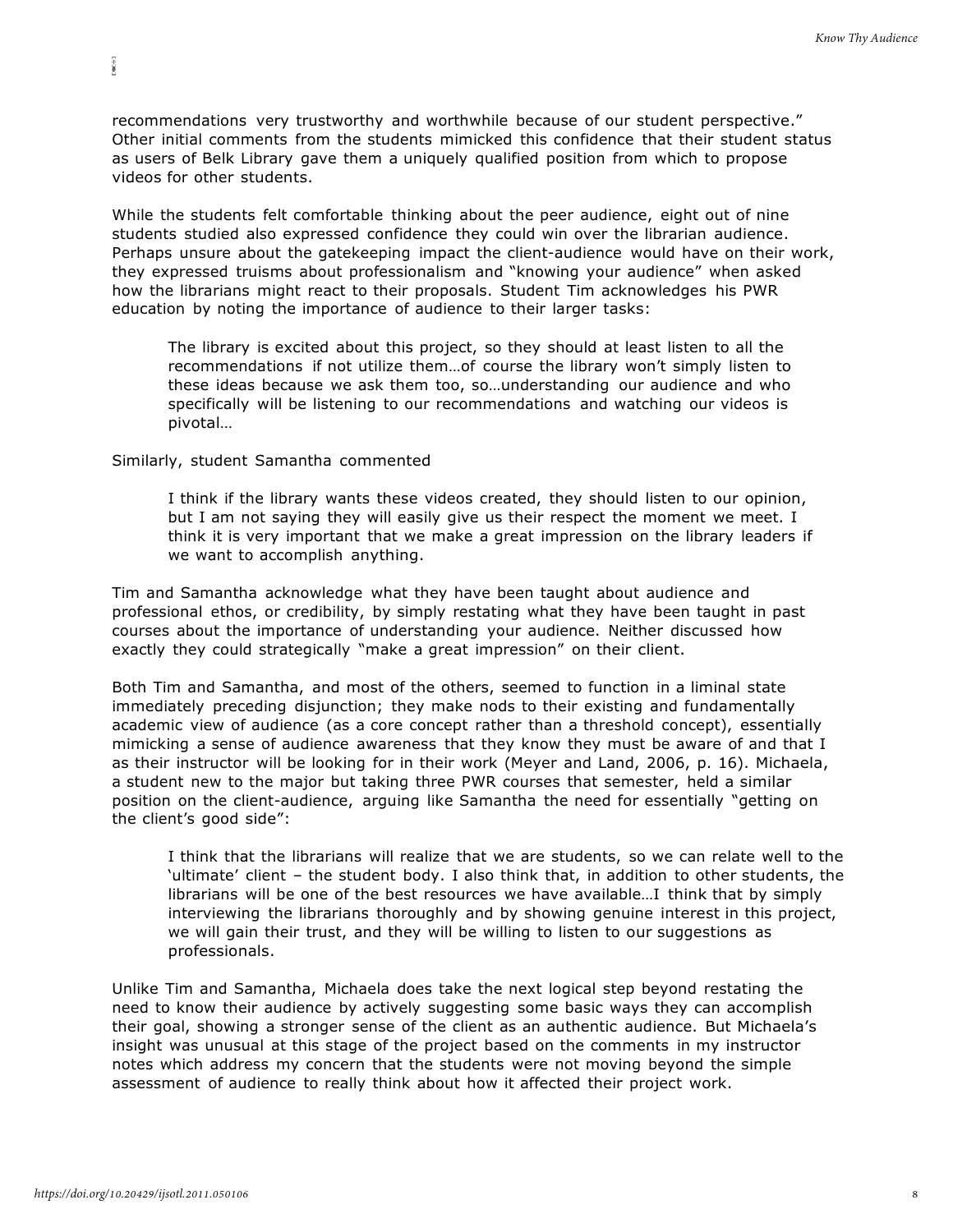recommendations very trustworthy and worthwhile because of our student perspective." Other initial comments from the students mimicked this confidence that their student status as users of Belk Library gave them a uniquely qualified position from which to propose videos for other students.

While the students felt comfortable thinking about the peer audience, eight out of nine students studied also expressed confidence they could win over the librarian audience. Perhaps unsure about the gatekeeping impact the client-audience would have on their work, they expressed truisms about professionalism and "knowing your audience" when asked how the librarians might react to their proposals. Student Tim acknowledges his PWR education by noting the importance of audience to their larger tasks:

The library is excited about this project, so they should at least listen to all the recommendations if not utilize them…of course the library won't simply listen to these ideas because we ask them too, so…understanding our audience and who specifically will be listening to our recommendations and watching our videos is pivotal…

Similarly, student Samantha commented

E80-93

I think if the library wants these videos created, they should listen to our opinion, but I am not saying they will easily give us their respect the moment we meet. I think it is very important that we make a great impression on the library leaders if we want to accomplish anything.

Tim and Samantha acknowledge what they have been taught about audience and professional ethos, or credibility, by simply restating what they have been taught in past courses about the importance of understanding your audience. Neither discussed how exactly they could strategically "make a great impression" on their client.

Both Tim and Samantha, and most of the others, seemed to function in a liminal state immediately preceding disjunction; they make nods to their existing and fundamentally academic view of audience (as a core concept rather than a threshold concept), essentially mimicking a sense of audience awareness that they know they must be aware of and that I as their instructor will be looking for in their work (Meyer and Land, 2006, p. 16). Michaela, a student new to the major but taking three PWR courses that semester, held a similar position on the client-audience, arguing like Samantha the need for essentially "getting on the client's good side":

I think that the librarians will realize that we are students, so we can relate well to the 'ultimate' client – the student body. I also think that, in addition to other students, the librarians will be one of the best resources we have available…I think that by simply interviewing the librarians thoroughly and by showing genuine interest in this project, we will gain their trust, and they will be willing to listen to our suggestions as professionals.

Unlike Tim and Samantha, Michaela does take the next logical step beyond restating the need to know their audience by actively suggesting some basic ways they can accomplish their goal, showing a stronger sense of the client as an authentic audience. But Michaela's insight was unusual at this stage of the project based on the comments in my instructor notes which address my concern that the students were not moving beyond the simple assessment of audience to really think about how it affected their project work.

8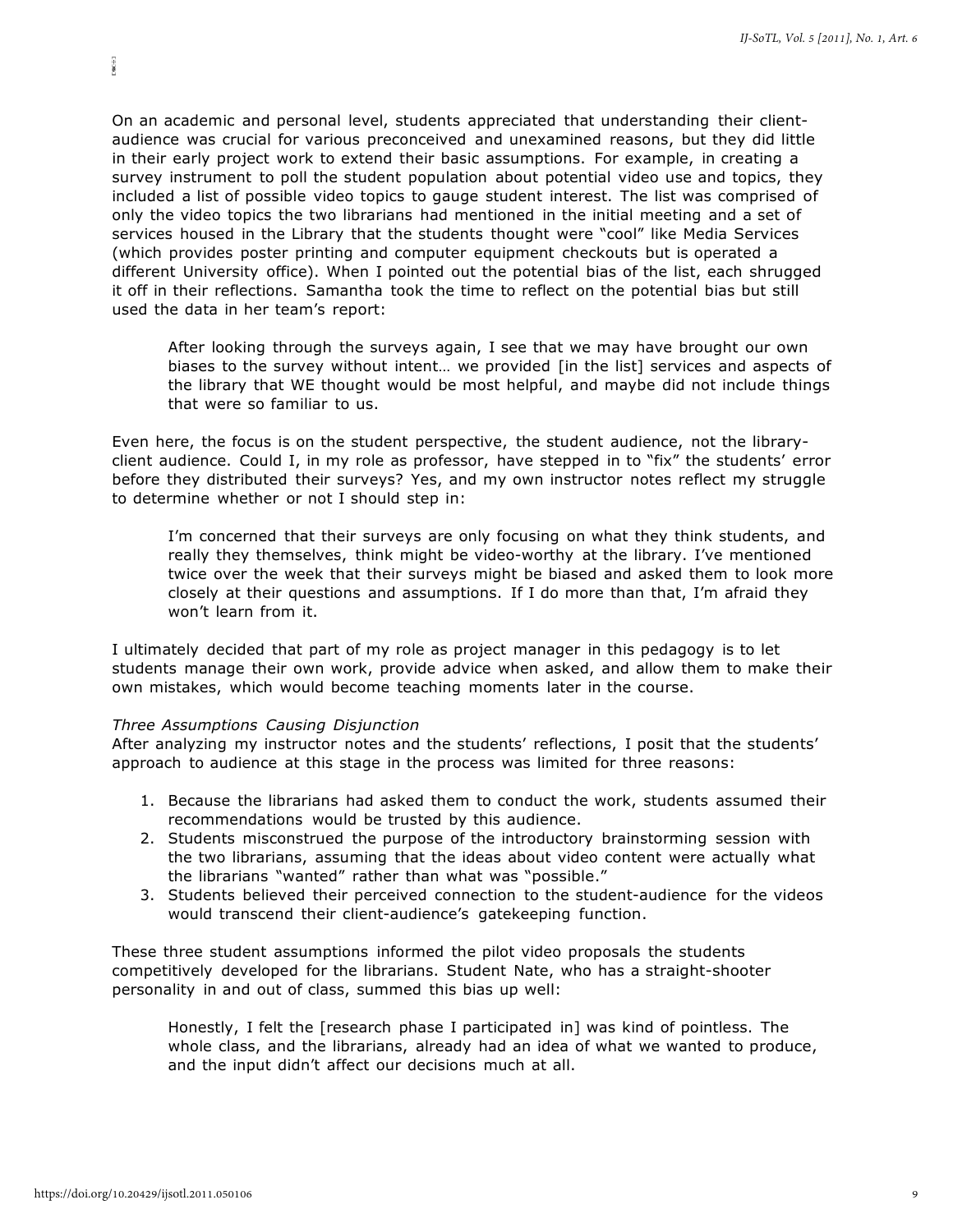On an academic and personal level, students appreciated that understanding their clientaudience was crucial for various preconceived and unexamined reasons, but they did little in their early project work to extend their basic assumptions. For example, in creating a survey instrument to poll the student population about potential video use and topics, they included a list of possible video topics to gauge student interest. The list was comprised of only the video topics the two librarians had mentioned in the initial meeting and a set of services housed in the Library that the students thought were "cool" like Media Services (which provides poster printing and computer equipment checkouts but is operated a different University office). When I pointed out the potential bias of the list, each shrugged it off in their reflections. Samantha took the time to reflect on the potential bias but still used the data in her team's report:

After looking through the surveys again, I see that we may have brought our own biases to the survey without intent... we provided [in the list] services and aspects of the library that WE thought would be most helpful, and maybe did not include things that were so familiar to us.

Even here, the focus is on the student perspective, the student audience, not the libraryclient audience. Could I, in my role as professor, have stepped in to "fix" the students' error before they distributed their surveys? Yes, and my own instructor notes reflect my struggle to determine whether or not I should step in:

I'm concerned that their surveys are only focusing on what they think students, and really they themselves, think might be video-worthy at the library. I've mentioned twice over the week that their surveys might be biased and asked them to look more closely at their questions and assumptions. If I do more than that, I'm afraid they won't learn from it.

I ultimately decided that part of my role as project manager in this pedagogy is to let students manage their own work, provide advice when asked, and allow them to make their own mistakes, which would become teaching moments later in the course.

#### *Three Assumptions Causing Disjunction*

After analyzing my instructor notes and the students' reflections, I posit that the students' approach to audience at this stage in the process was limited for three reasons:

- 1. Because the librarians had asked them to conduct the work, students assumed their recommendations would be trusted by this audience.
- 2. Students misconstrued the purpose of the introductory brainstorming session with the two librarians, assuming that the ideas about video content were actually what the librarians "wanted" rather than what was "possible."
- 3. Students believed their perceived connection to the student-audience for the videos would transcend their client-audience's gatekeeping function.

These three student assumptions informed the pilot video proposals the students competitively developed for the librarians. Student Nate, who has a straight-shooter personality in and out of class, summed this bias up well:

Honestly, I felt the [research phase I participated in] was kind of pointless. The whole class, and the librarians, already had an idea of what we wanted to produce, and the input didn't affect our decisions much at all.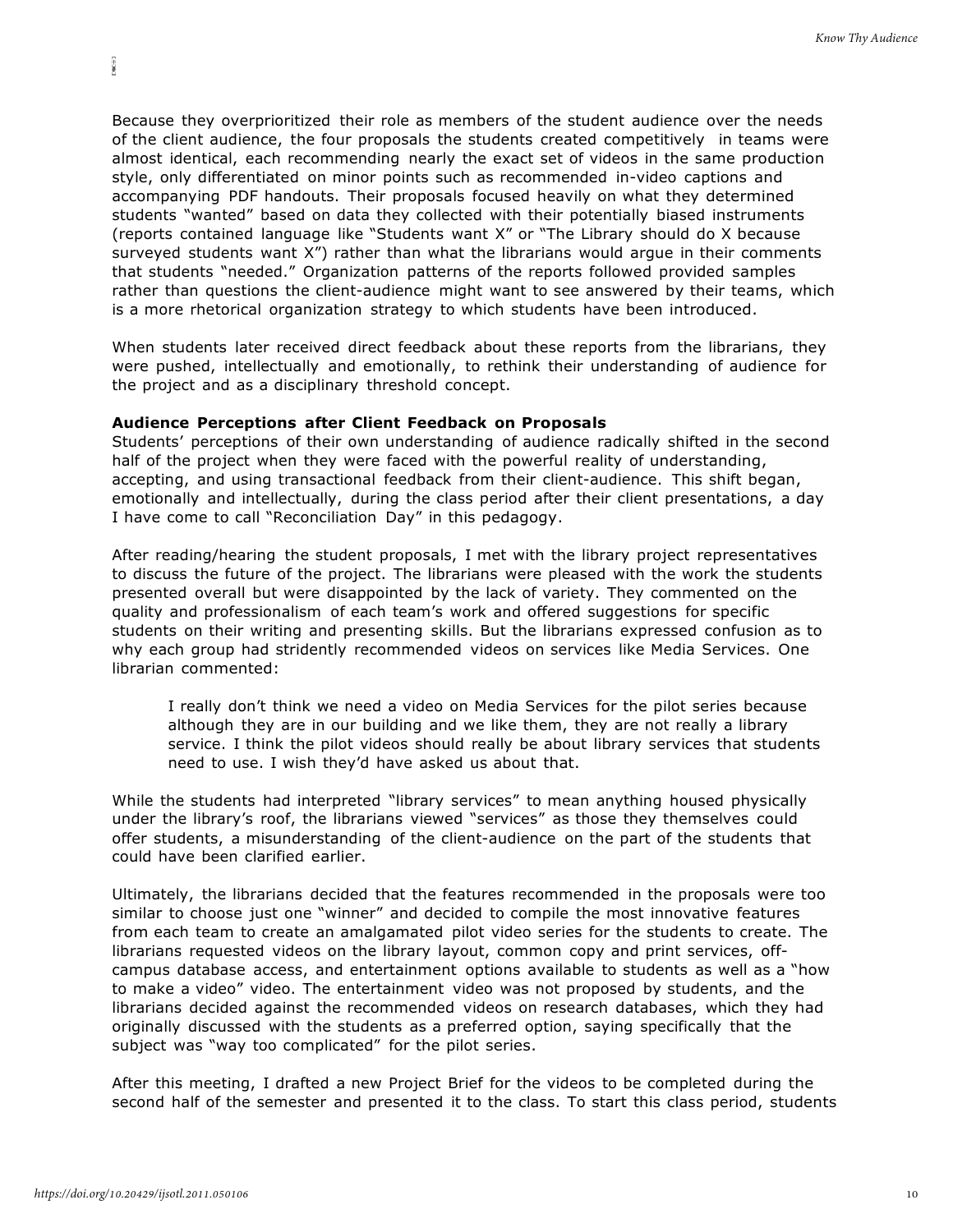Because they overprioritized their role as members of the student audience over the needs of the client audience, the four proposals the students created competitively in teams were almost identical, each recommending nearly the exact set of videos in the same production style, only differentiated on minor points such as recommended in-video captions and accompanying PDF handouts. Their proposals focused heavily on what they determined students "wanted" based on data they collected with their potentially biased instruments (reports contained language like "Students want X" or "The Library should do X because surveyed students want X") rather than what the librarians would argue in their comments that students "needed." Organization patterns of the reports followed provided samples rather than questions the client-audience might want to see answered by their teams, which is a more rhetorical organization strategy to which students have been introduced.

When students later received direct feedback about these reports from the librarians, they were pushed, intellectually and emotionally, to rethink their understanding of audience for the project and as a disciplinary threshold concept.

#### **Audience Perceptions after Client Feedback on Proposals**

Students' perceptions of their own understanding of audience radically shifted in the second half of the project when they were faced with the powerful reality of understanding, accepting, and using transactional feedback from their client-audience. This shift began, emotionally and intellectually, during the class period after their client presentations, a day I have come to call "Reconciliation Day" in this pedagogy.

After reading/hearing the student proposals, I met with the library project representatives to discuss the future of the project. The librarians were pleased with the work the students presented overall but were disappointed by the lack of variety. They commented on the quality and professionalism of each team's work and offered suggestions for specific students on their writing and presenting skills. But the librarians expressed confusion as to why each group had stridently recommended videos on services like Media Services. One librarian commented:

I really don't think we need a video on Media Services for the pilot series because although they are in our building and we like them, they are not really a library service. I think the pilot videos should really be about library services that students need to use. I wish they'd have asked us about that.

While the students had interpreted "library services" to mean anything housed physically under the library's roof, the librarians viewed "services" as those they themselves could offer students, a misunderstanding of the client-audience on the part of the students that could have been clarified earlier.

Ultimately, the librarians decided that the features recommended in the proposals were too similar to choose just one "winner" and decided to compile the most innovative features from each team to create an amalgamated pilot video series for the students to create. The librarians requested videos on the library layout, common copy and print services, offcampus database access, and entertainment options available to students as well as a "how to make a video" video. The entertainment video was not proposed by students, and the librarians decided against the recommended videos on research databases, which they had originally discussed with the students as a preferred option, saying specifically that the subject was "way too complicated" for the pilot series.

After this meeting, I drafted a new Project Brief for the videos to be completed during the second half of the semester and presented it to the class. To start this class period, students

E80-93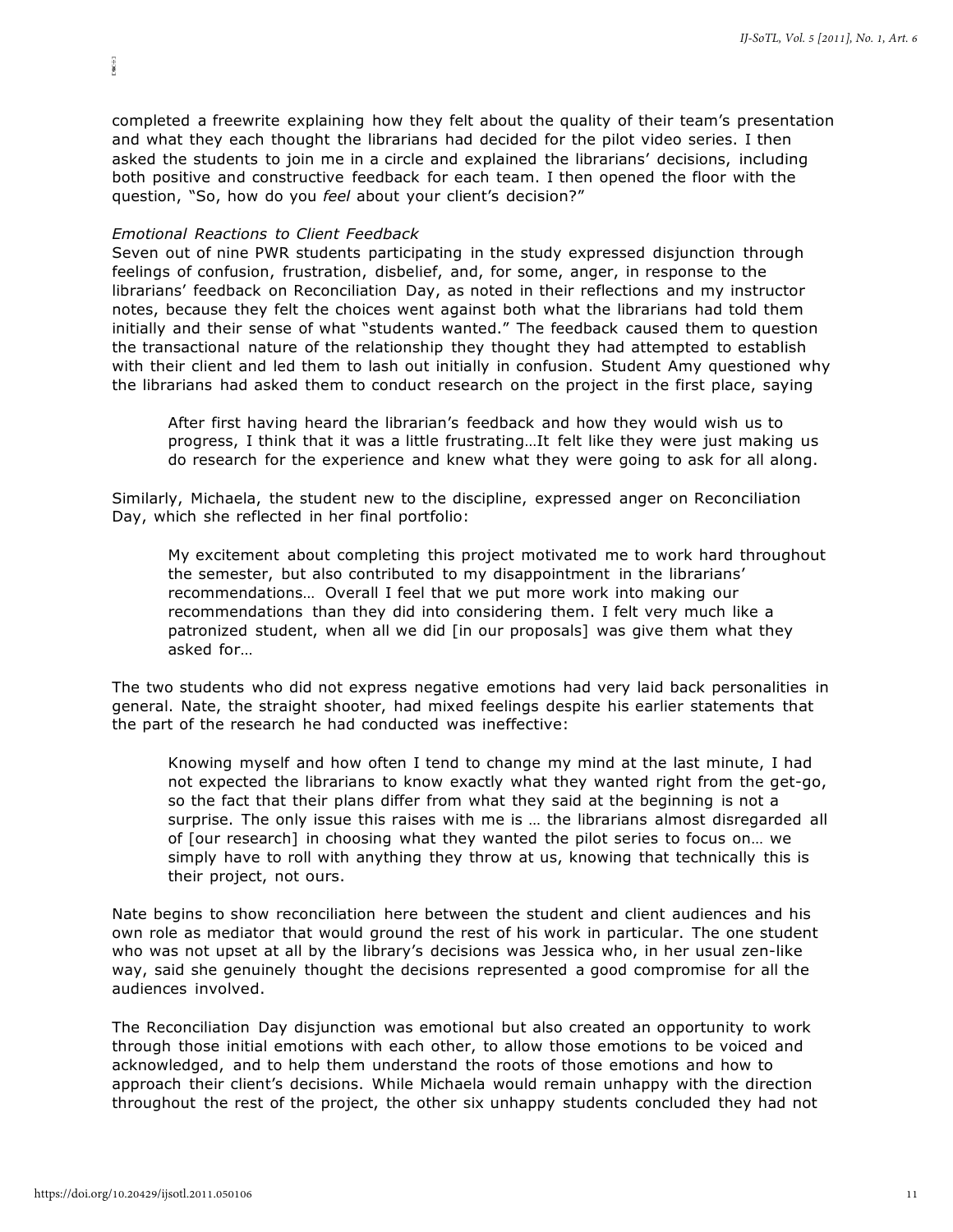completed a freewrite explaining how they felt about the quality of their team's presentation and what they each thought the librarians had decided for the pilot video series. I then asked the students to join me in a circle and explained the librarians' decisions, including both positive and constructive feedback for each team. I then opened the floor with the question, "So, how do you *feel* about your client's decision?"

#### *Emotional Reactions to Client Feedback*

 $\mathbb{E}[\mathfrak{B}(\frac{1}{2})]$ 

Seven out of nine PWR students participating in the study expressed disjunction through feelings of confusion, frustration, disbelief, and, for some, anger, in response to the librarians' feedback on Reconciliation Day, as noted in their reflections and my instructor notes, because they felt the choices went against both what the librarians had told them initially and their sense of what "students wanted." The feedback caused them to question the transactional nature of the relationship they thought they had attempted to establish with their client and led them to lash out initially in confusion. Student Amy questioned why the librarians had asked them to conduct research on the project in the first place, saying

After first having heard the librarian's feedback and how they would wish us to progress, I think that it was a little frustrating…It felt like they were just making us do research for the experience and knew what they were going to ask for all along.

Similarly, Michaela, the student new to the discipline, expressed anger on Reconciliation Day, which she reflected in her final portfolio:

My excitement about completing this project motivated me to work hard throughout the semester, but also contributed to my disappointment in the librarians' recommendations… Overall I feel that we put more work into making our recommendations than they did into considering them. I felt very much like a patronized student, when all we did [in our proposals] was give them what they asked for…

The two students who did not express negative emotions had very laid back personalities in general. Nate, the straight shooter, had mixed feelings despite his earlier statements that the part of the research he had conducted was ineffective:

Knowing myself and how often I tend to change my mind at the last minute, I had not expected the librarians to know exactly what they wanted right from the get-go, so the fact that their plans differ from what they said at the beginning is not a surprise. The only issue this raises with me is … the librarians almost disregarded all of [our research] in choosing what they wanted the pilot series to focus on… we simply have to roll with anything they throw at us, knowing that technically this is their project, not ours.

Nate begins to show reconciliation here between the student and client audiences and his own role as mediator that would ground the rest of his work in particular. The one student who was not upset at all by the library's decisions was Jessica who, in her usual zen-like way, said she genuinely thought the decisions represented a good compromise for all the audiences involved.

The Reconciliation Day disjunction was emotional but also created an opportunity to work through those initial emotions with each other, to allow those emotions to be voiced and acknowledged, and to help them understand the roots of those emotions and how to approach their client's decisions. While Michaela would remain unhappy with the direction throughout the rest of the project, the other six unhappy students concluded they had not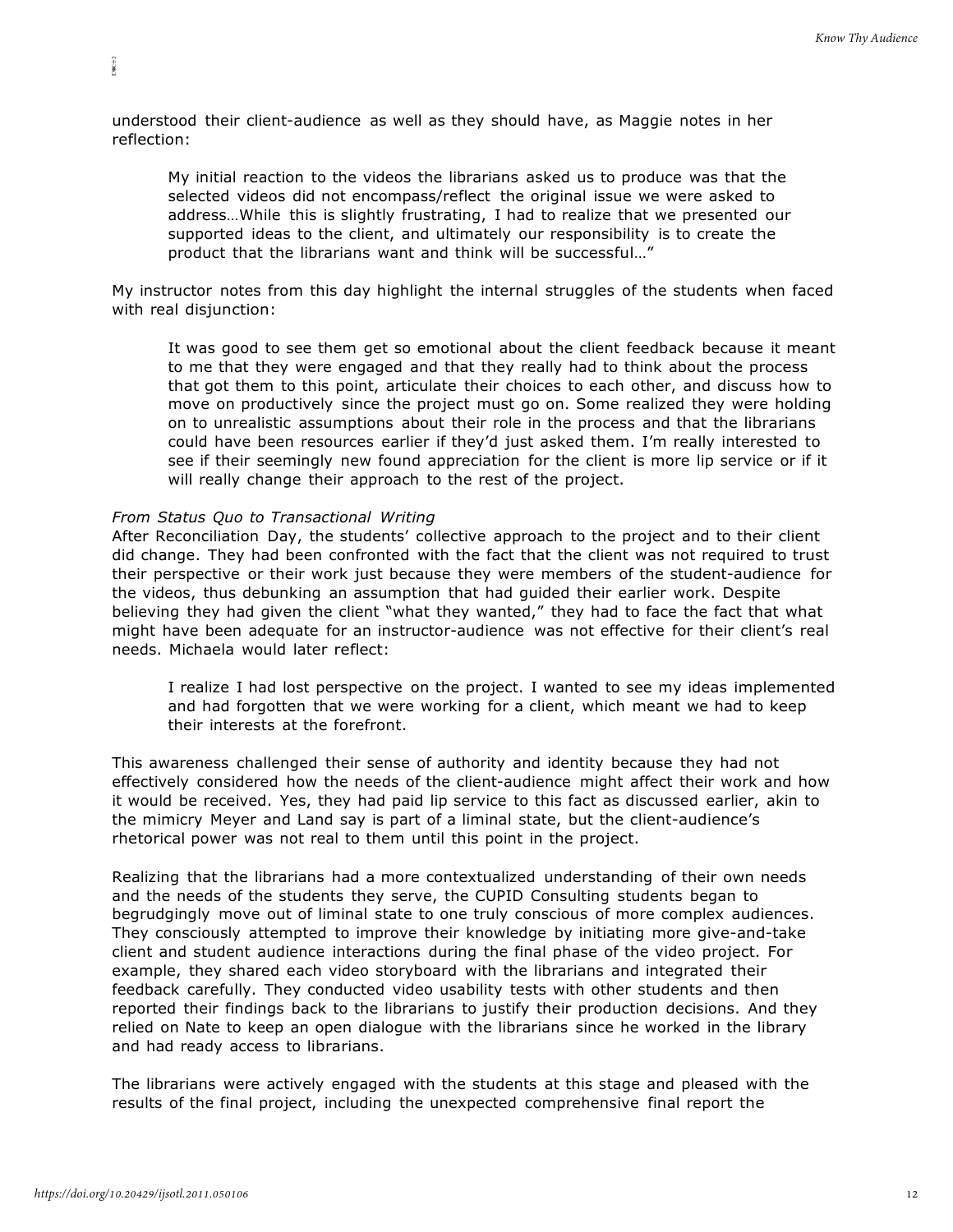understood their client-audience as well as they should have, as Maggie notes in her reflection:

My initial reaction to the videos the librarians asked us to produce was that the selected videos did not encompass/reflect the original issue we were asked to address…While this is slightly frustrating, I had to realize that we presented our supported ideas to the client, and ultimately our responsibility is to create the product that the librarians want and think will be successful…"

My instructor notes from this day highlight the internal struggles of the students when faced with real disjunction:

It was good to see them get so emotional about the client feedback because it meant to me that they were engaged and that they really had to think about the process that got them to this point, articulate their choices to each other, and discuss how to move on productively since the project must go on. Some realized they were holding on to unrealistic assumptions about their role in the process and that the librarians could have been resources earlier if they'd just asked them. I'm really interested to see if their seemingly new found appreciation for the client is more lip service or if it will really change their approach to the rest of the project.

# *From Status Quo to Transactional Writing*

E80-93

After Reconciliation Day, the students' collective approach to the project and to their client did change. They had been confronted with the fact that the client was not required to trust their perspective or their work just because they were members of the student-audience for the videos, thus debunking an assumption that had guided their earlier work. Despite believing they had given the client "what they wanted," they had to face the fact that what might have been adequate for an instructor-audience was not effective for their client's real needs. Michaela would later reflect:

I realize I had lost perspective on the project. I wanted to see my ideas implemented and had forgotten that we were working for a client, which meant we had to keep their interests at the forefront.

This awareness challenged their sense of authority and identity because they had not effectively considered how the needs of the client-audience might affect their work and how it would be received. Yes, they had paid lip service to this fact as discussed earlier, akin to the mimicry Meyer and Land say is part of a liminal state, but the client-audience's rhetorical power was not real to them until this point in the project.

Realizing that the librarians had a more contextualized understanding of their own needs and the needs of the students they serve, the CUPID Consulting students began to begrudgingly move out of liminal state to one truly conscious of more complex audiences. They consciously attempted to improve their knowledge by initiating more give-and-take client and student audience interactions during the final phase of the video project. For example, they shared each video storyboard with the librarians and integrated their feedback carefully. They conducted video usability tests with other students and then reported their findings back to the librarians to justify their production decisions. And they relied on Nate to keep an open dialogue with the librarians since he worked in the library and had ready access to librarians.

The librarians were actively engaged with the students at this stage and pleased with the results of the final project, including the unexpected comprehensive final report the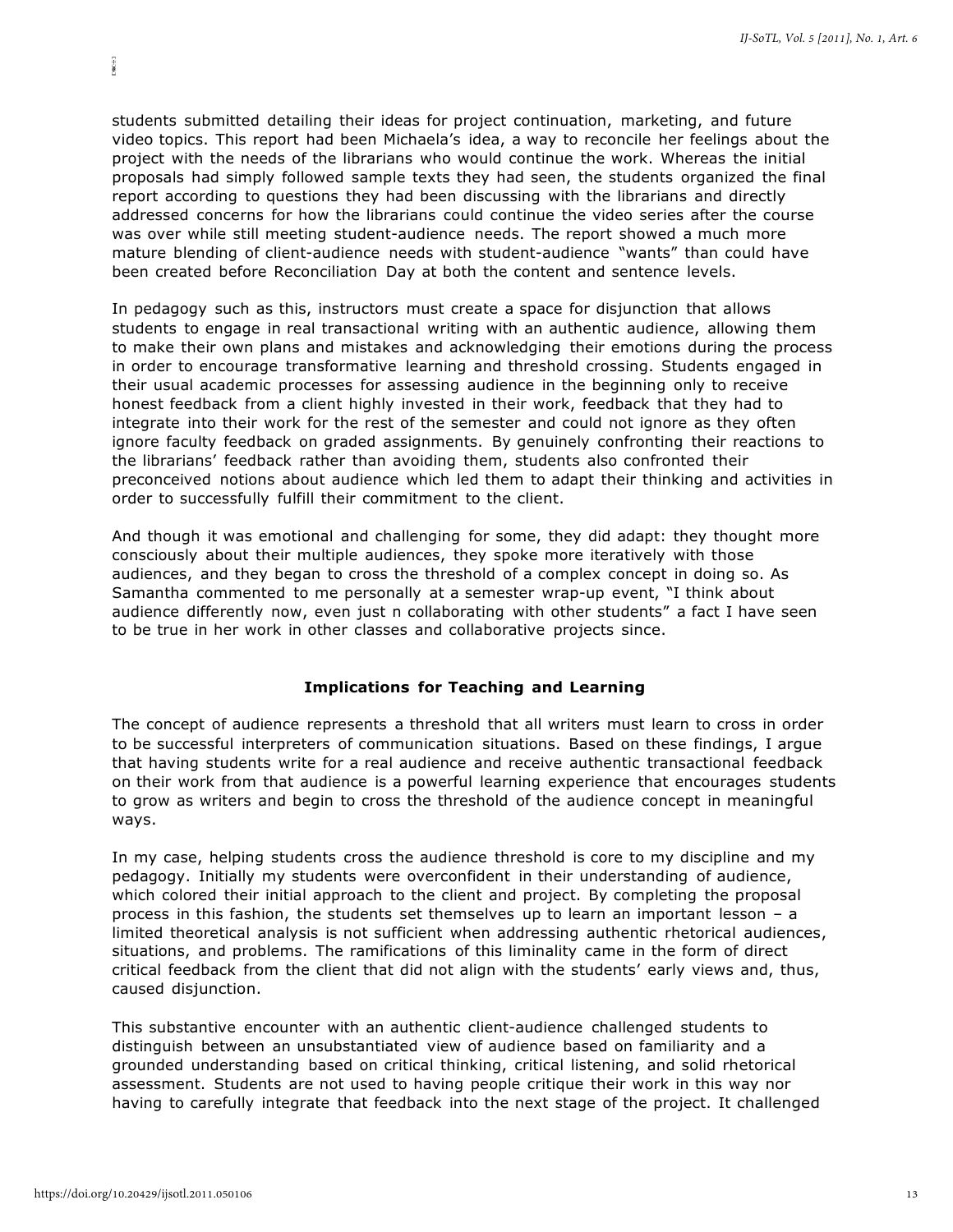students submitted detailing their ideas for project continuation, marketing, and future video topics. This report had been Michaela's idea, a way to reconcile her feelings about the project with the needs of the librarians who would continue the work. Whereas the initial proposals had simply followed sample texts they had seen, the students organized the final report according to questions they had been discussing with the librarians and directly addressed concerns for how the librarians could continue the video series after the course was over while still meeting student-audience needs. The report showed a much more mature blending of client-audience needs with student-audience "wants" than could have been created before Reconciliation Day at both the content and sentence levels.

In pedagogy such as this, instructors must create a space for disjunction that allows students to engage in real transactional writing with an authentic audience, allowing them to make their own plans and mistakes and acknowledging their emotions during the process in order to encourage transformative learning and threshold crossing. Students engaged in their usual academic processes for assessing audience in the beginning only to receive honest feedback from a client highly invested in their work, feedback that they had to integrate into their work for the rest of the semester and could not ignore as they often ignore faculty feedback on graded assignments. By genuinely confronting their reactions to the librarians' feedback rather than avoiding them, students also confronted their preconceived notions about audience which led them to adapt their thinking and activities in order to successfully fulfill their commitment to the client.

And though it was emotional and challenging for some, they did adapt: they thought more consciously about their multiple audiences, they spoke more iteratively with those audiences, and they began to cross the threshold of a complex concept in doing so. As Samantha commented to me personally at a semester wrap-up event, "I think about audience differently now, even just n collaborating with other students" a fact I have seen to be true in her work in other classes and collaborative projects since.

### **Implications for Teaching and Learning**

The concept of audience represents a threshold that all writers must learn to cross in order to be successful interpreters of communication situations. Based on these findings, I argue that having students write for a real audience and receive authentic transactional feedback on their work from that audience is a powerful learning experience that encourages students to grow as writers and begin to cross the threshold of the audience concept in meaningful ways.

In my case, helping students cross the audience threshold is core to my discipline and my pedagogy. Initially my students were overconfident in their understanding of audience, which colored their initial approach to the client and project. By completing the proposal process in this fashion, the students set themselves up to learn an important lesson – a limited theoretical analysis is not sufficient when addressing authentic rhetorical audiences, situations, and problems. The ramifications of this liminality came in the form of direct critical feedback from the client that did not align with the students' early views and, thus, caused disjunction.

This substantive encounter with an authentic client-audience challenged students to distinguish between an unsubstantiated view of audience based on familiarity and a grounded understanding based on critical thinking, critical listening, and solid rhetorical assessment. Students are not used to having people critique their work in this way nor having to carefully integrate that feedback into the next stage of the project. It challenged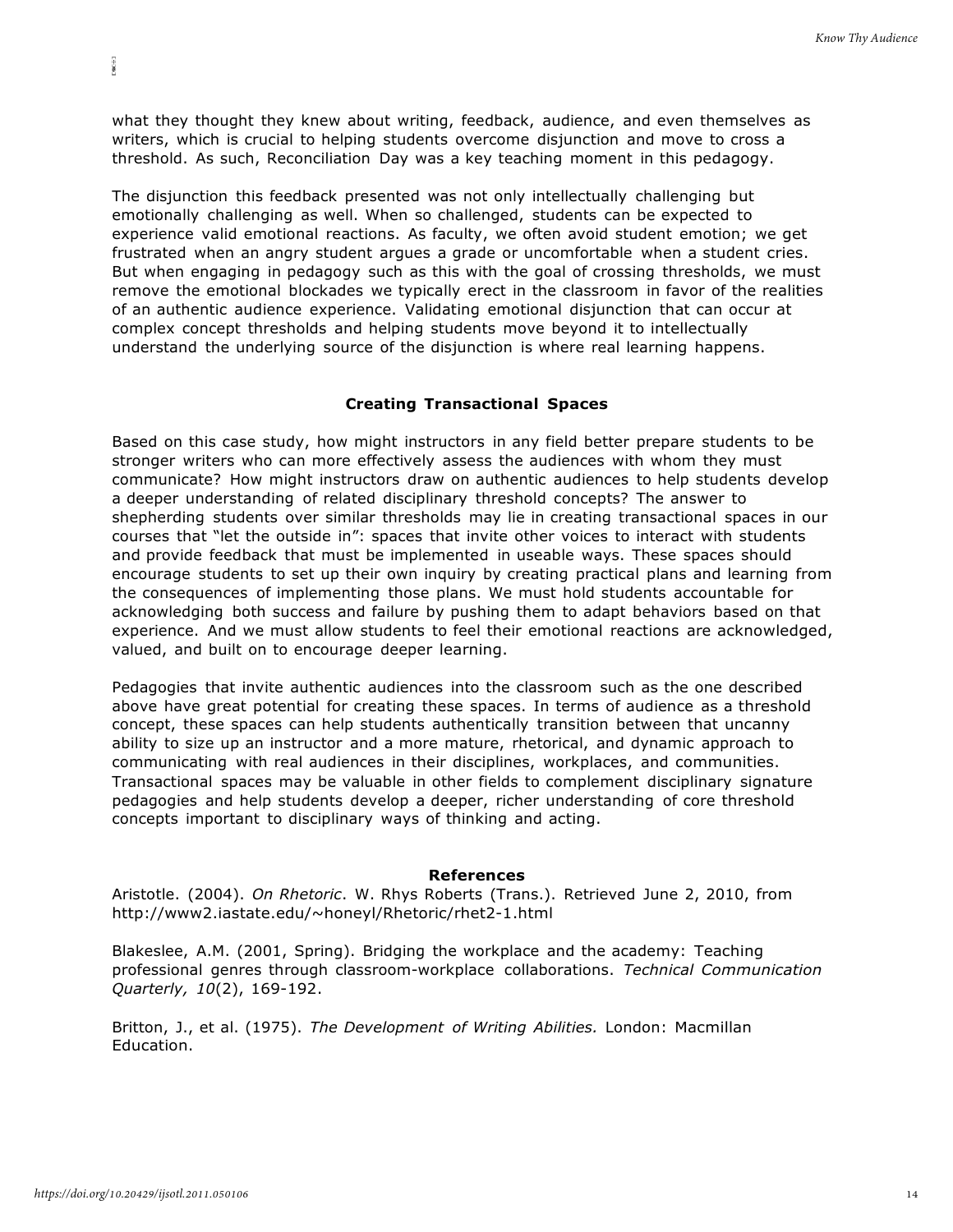what they thought they knew about writing, feedback, audience, and even themselves as writers, which is crucial to helping students overcome disjunction and move to cross a threshold. As such, Reconciliation Day was a key teaching moment in this pedagogy.

The disjunction this feedback presented was not only intellectually challenging but emotionally challenging as well. When so challenged, students can be expected to experience valid emotional reactions. As faculty, we often avoid student emotion; we get frustrated when an angry student argues a grade or uncomfortable when a student cries. But when engaging in pedagogy such as this with the goal of crossing thresholds, we must remove the emotional blockades we typically erect in the classroom in favor of the realities of an authentic audience experience. Validating emotional disjunction that can occur at complex concept thresholds and helping students move beyond it to intellectually understand the underlying source of the disjunction is where real learning happens.

# **Creating Transactional Spaces**

Based on this case study, how might instructors in any field better prepare students to be stronger writers who can more effectively assess the audiences with whom they must communicate? How might instructors draw on authentic audiences to help students develop a deeper understanding of related disciplinary threshold concepts? The answer to shepherding students over similar thresholds may lie in creating transactional spaces in our courses that "let the outside in": spaces that invite other voices to interact with students and provide feedback that must be implemented in useable ways. These spaces should encourage students to set up their own inquiry by creating practical plans and learning from the consequences of implementing those plans. We must hold students accountable for acknowledging both success and failure by pushing them to adapt behaviors based on that experience. And we must allow students to feel their emotional reactions are acknowledged, valued, and built on to encourage deeper learning.

Pedagogies that invite authentic audiences into the classroom such as the one described above have great potential for creating these spaces. In terms of audience as a threshold concept, these spaces can help students authentically transition between that uncanny ability to size up an instructor and a more mature, rhetorical, and dynamic approach to communicating with real audiences in their disciplines, workplaces, and communities. Transactional spaces may be valuable in other fields to complement disciplinary signature pedagogies and help students develop a deeper, richer understanding of core threshold concepts important to disciplinary ways of thinking and acting.

#### **References**

Aristotle. (2004). *On Rhetoric*. W. Rhys Roberts (Trans.). Retrieved June 2, 2010, fro[m](http://www2.iastate.edu/~honeyl/Rhetoric/rhet2-1.html) <http://www2.iastate.edu/~honeyl/Rhetoric/rhet2-1.html>

Blakeslee, A.M. (2001, Spring). Bridging the workplace and the academy: Teaching professional genres through classroom-workplace collaborations. *Technical Communication Quarterly, 10*(2), 169-192.

Britton, J., et al. (1975). *The Development of Writing Abilities.* London: Macmillan Education.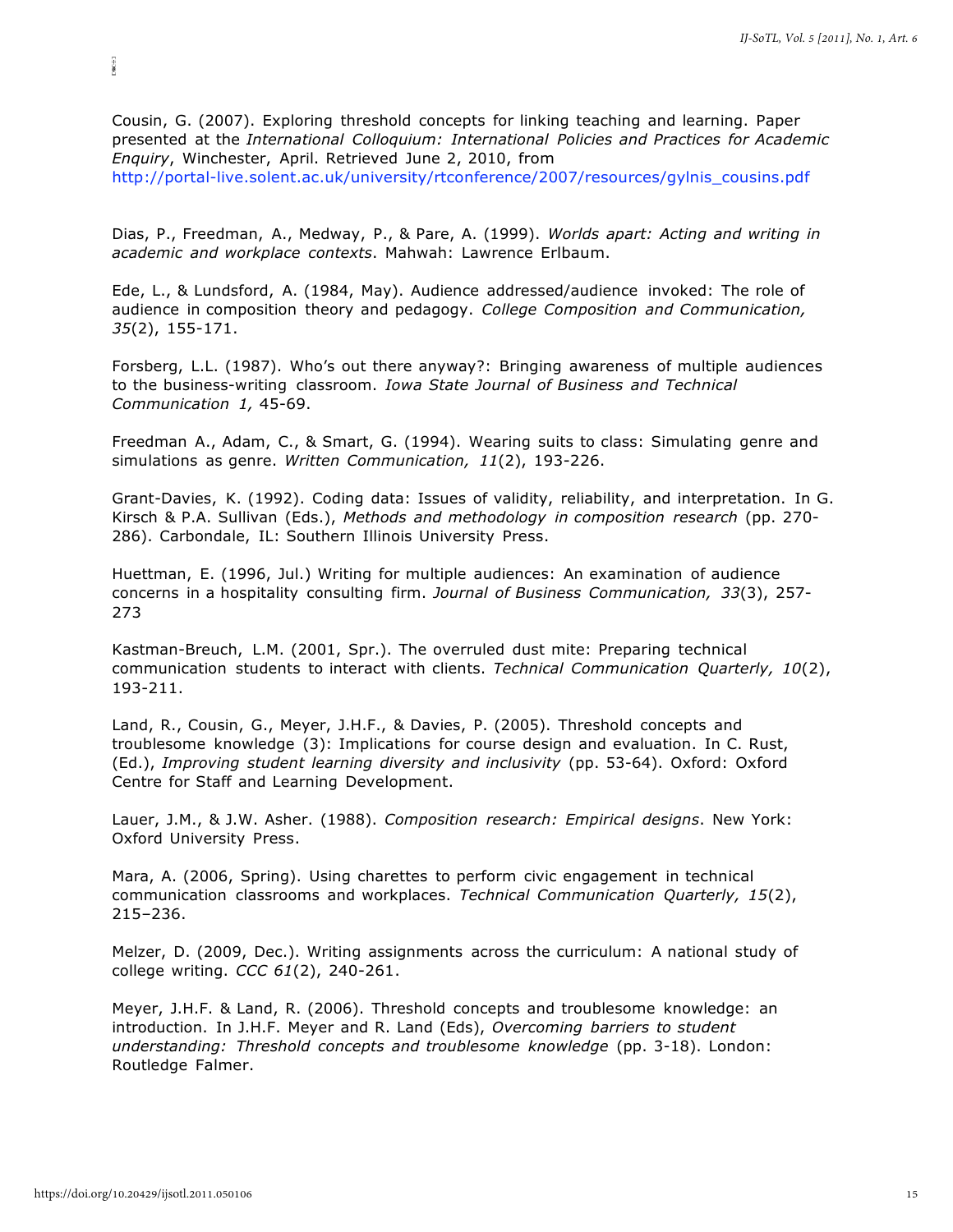Cousin, G. (2007). Exploring threshold concepts for linking teaching and learning. Paper presented at the *International Colloquium: International Policies and Practices for Academic Enquiry*, Winchester, April. Retrieved June 2, 2010, from [http://portal-live.solent.ac.uk/university/rtconference/2007/resources/gylnis\\_cousins.pdf](http://portal-live.solent.ac.uk/university/rtconference/2007/resources/gylnis_cousins.pdf)

Dias, P., Freedman, A., Medway, P., & Pare, A. (1999). *Worlds apart: Acting and writing in academic and workplace contexts*. Mahwah: Lawrence Erlbaum.

Ede, L., & Lundsford, A. (1984, May). Audience addressed/audience invoked: The role of audience in composition theory and pedagogy. *College Composition and Communication, 35*(2), 155-171.

Forsberg, L.L. (1987). Who's out there anyway?: Bringing awareness of multiple audiences to the business-writing classroom. *Iowa State Journal of Business and Technical Communication 1,* 45-69.

Freedman A., Adam, C., & Smart, G. (1994). Wearing suits to class: Simulating genre and simulations as genre. *Written Communication, 11*(2), 193-226.

Grant-Davies, K. (1992). Coding data: Issues of validity, reliability, and interpretation. In G. Kirsch & P.A. Sullivan (Eds.), *Methods and methodology in composition research* (pp. 270- 286). Carbondale, IL: Southern Illinois University Press.

Huettman, E. (1996, Jul.) Writing for multiple audiences: An examination of audience concerns in a hospitality consulting firm. *Journal of Business Communication, 33*(3), 257- 273

Kastman-Breuch, L.M. (2001, Spr.). The overruled dust mite: Preparing technical communication students to interact with clients. *Technical Communication Quarterly, 10*(2), 193-211.

Land, R., Cousin, G., Meyer, J.H.F., & Davies, P. (2005). Threshold concepts and troublesome knowledge (3): Implications for course design and evaluation. In C. Rust, (Ed.), *Improving student learning diversity and inclusivity* (pp. 53-64). Oxford: Oxford Centre for Staff and Learning Development.

Lauer, J.M., & J.W. Asher. (1988). *Composition research: Empirical designs*. New York: Oxford University Press.

Mara, A. (2006, Spring). Using charettes to perform civic engagement in technical communication classrooms and workplaces. *Technical Communication Quarterly, 15*(2), 215–236.

Melzer, D. (2009, Dec.). Writing assignments across the curriculum: A national study of college writing. *CCC 61*(2), 240-261.

Meyer, J.H.F. & Land, R. (2006). Threshold concepts and troublesome knowledge: an introduction. In J.H.F. Meyer and R. Land (Eds), *Overcoming barriers to student understanding: Threshold concepts and troublesome knowledge* (pp. 3-18). London: Routledge Falmer.